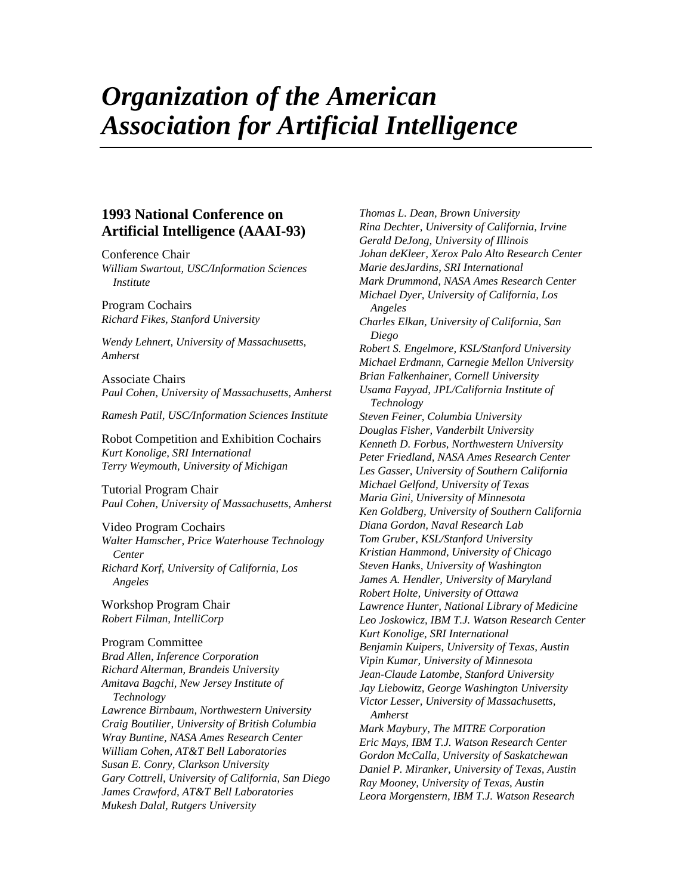# *Organization of the American Association for Artificial Intelligence*

# **1993 National Conference on Artificial Intelligence (AAAI-93)**

Conference Chair *William Swartout, USC/Information Sciences Institute*

Program Cochairs *Richard Fikes, Stanford University*

*Wendy Lehnert, University of Massachusetts, Amherst*

Associate Chairs *Paul Cohen, University of Massachusetts, Amherst*

*Ramesh Patil, USC/Information Sciences Institute*

Robot Competition and Exhibition Cochairs *Kurt Konolige, SRI International Terry Weymouth, University of Michigan*

Tutorial Program Chair *Paul Cohen, University of Massachusetts, Amherst*

#### Video Program Cochairs

*Walter Hamscher, Price Waterhouse Technology Center Richard Korf, University of California, Los Angeles*

Workshop Program Chair *Robert Filman, IntelliCorp*

#### Program Committee

*Brad Allen, Inference Corporation Richard Alterman, Brandeis University Amitava Bagchi, New Jersey Institute of Technology Lawrence Birnbaum, Northwestern University Craig Boutilier, University of British Columbia Wray Buntine, NASA Ames Research Center William Cohen, AT&T Bell Laboratories Susan E. Conry, Clarkson University Gary Cottrell, University of California, San Diego James Crawford, AT&T Bell Laboratories Mukesh Dalal, Rutgers University*

*Thomas L. Dean, Brown University Rina Dechter, University of California, Irvine Gerald DeJong, University of Illinois Johan deKleer, Xerox Palo Alto Research Center Marie desJardins, SRI International Mark Drummond, NASA Ames Research Center Michael Dyer, University of California, Los Angeles Charles Elkan, University of California, San Diego Robert S. Engelmore, KSL/Stanford University Michael Erdmann, Carnegie Mellon University Brian Falkenhainer, Cornell University Usama Fayyad, JPL/California Institute of Technology Steven Feiner, Columbia University Douglas Fisher, Vanderbilt University Kenneth D. Forbus, Northwestern University Peter Friedland, NASA Ames Research Center Les Gasser, University of Southern California Michael Gelfond, University of Texas Maria Gini, University of Minnesota Ken Goldberg, University of Southern California Diana Gordon, Naval Research Lab Tom Gruber, KSL/Stanford University Kristian Hammond, University of Chicago Steven Hanks, University of Washington James A. Hendler, University of Maryland Robert Holte, University of Ottawa Lawrence Hunter, National Library of Medicine Leo Joskowicz, IBM T.J. Watson Research Center Kurt Konolige, SRI International Benjamin Kuipers, University of Texas, Austin Vipin Kumar, University of Minnesota Jean-Claude Latombe, Stanford University Jay Liebowitz, George Washington University Victor Lesser, University of Massachusetts, Amherst Mark Maybury, The MITRE Corporation Eric Mays, IBM T.J. Watson Research Center Gordon McCalla, University of Saskatchewan Daniel P. Miranker, University of Texas, Austin Ray Mooney, University of Texas, Austin Leora Morgenstern, IBM T.J. Watson Research*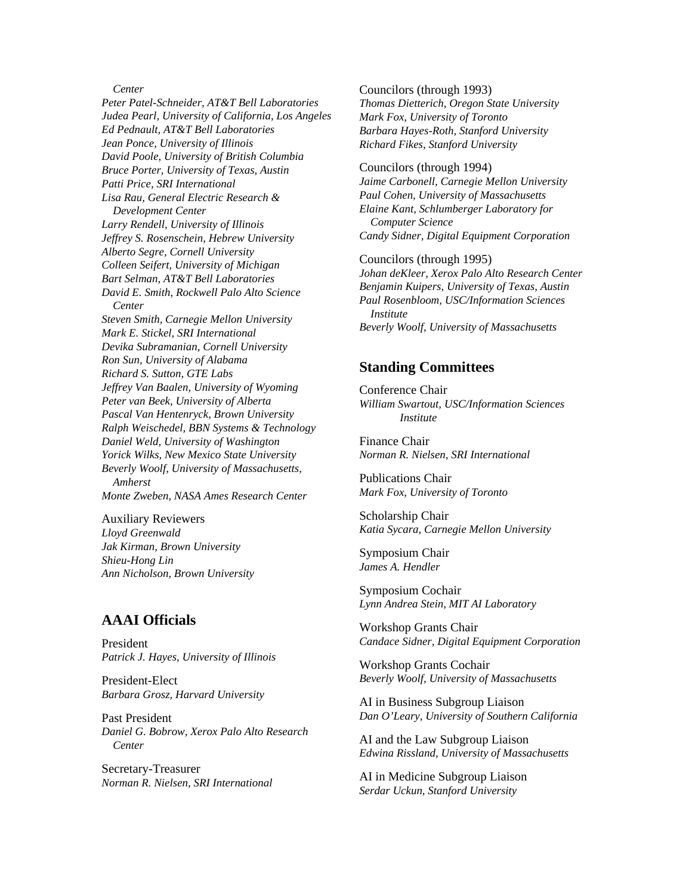#### *Center*

*Peter Patel-Schneider, AT&T Bell Laboratories Judea Pearl, University of California, Los Angeles Ed Pednault, AT&T Bell Laboratories Jean Ponce, University of Illinois David Poole, University of British Columbia Bruce Porter, University of Texas, Austin Patti Price, SRI International Lisa Rau, General Electric Research & Development Center Larry Rendell, University of Illinois Jeffrey S. Rosenschein, Hebrew University Alberto Segre, Cornell University Colleen Seifert, University of Michigan Bart Selman, AT&T Bell Laboratories David E. Smith, Rockwell Palo Alto Science Center Steven Smith, Carnegie Mellon University Mark E. Stickel, SRI International Devika Subramanian, Cornell University Ron Sun, University of Alabama Richard S. Sutton, GTE Labs Jeffrey Van Baalen, University of Wyoming Peter van Beek, University of Alberta Pascal Van Hentenryck, Brown University Ralph Weischedel, BBN Systems & Technology Daniel Weld, University of Washington Yorick Wilks, New Mexico State University Beverly Woolf, University of Massachusetts, Amherst Monte Zweben, NASA Ames Research Center*

Auxiliary Reviewers *Lloyd Greenwald Jak Kirman, Brown University Shieu-Hong Lin Ann Nicholson, Brown University*

## **AAAI Officials**

President *Patrick J. Hayes, University of Illinois*

President-Elect *Barbara Grosz, Harvard University*

Past President *Daniel G. Bobrow, Xerox Palo Alto Research Center*

Secretary-Treasurer *Norman R. Nielsen, SRI International* Councilors (through 1993) *Thomas Dietterich, Oregon State University Mark Fox, University of Toronto Barbara Hayes-Roth, Stanford University Richard Fikes, Stanford University*

Councilors (through 1994) *Jaime Carbonell, Carnegie Mellon University Paul Cohen, University of Massachusetts Elaine Kant, Schlumberger Laboratory for Computer Science Candy Sidner, Digital Equipment Corporation*

Councilors (through 1995) *Johan deKleer, Xerox Palo Alto Research Center Benjamin Kuipers, University of Texas, Austin Paul Rosenbloom, USC/Information Sciences Institute Beverly Woolf, University of Massachusetts*

### **Standing Committees**

Conference Chair *William Swartout, USC/Information Sciences Institute*

Finance Chair *Norman R. Nielsen, SRI International*

Publications Chair *Mark Fox, University of Toronto*

Scholarship Chair *Katia Sycara, Carnegie Mellon University*

Symposium Chair *James A. Hendler*

Symposium Cochair *Lynn Andrea Stein, MIT AI Laboratory*

Workshop Grants Chair *Candace Sidner, Digital Equipment Corporation*

Workshop Grants Cochair *Beverly Woolf, University of Massachusetts*

AI in Business Subgroup Liaison *Dan O'Leary, University of Southern California*

AI and the Law Subgroup Liaison *Edwina Rissland, University of Massachusetts*

AI in Medicine Subgroup Liaison *Serdar Uckun, Stanford University*